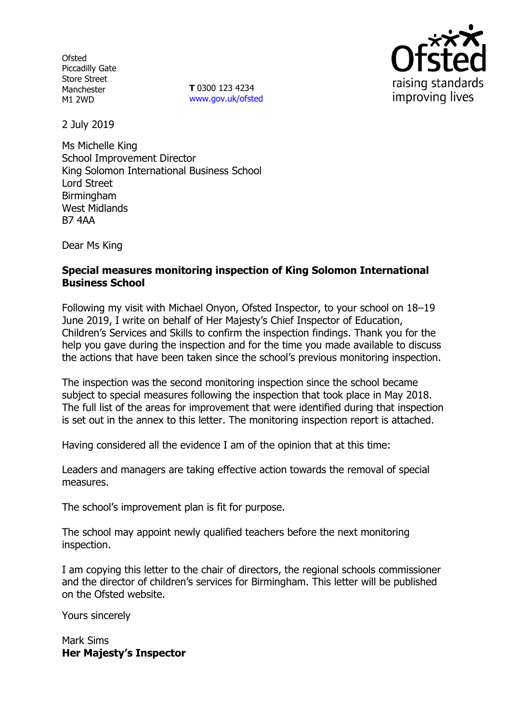**Ofsted** Piccadilly Gate Store Street Manchester M1 2WD

**T** 0300 123 4234 www.gov.uk/ofsted



2 July 2019

Ms Michelle King School Improvement Director King Solomon International Business School Lord Street Birmingham West Midlands B7 4AA

Dear Ms King

## **Special measures monitoring inspection of King Solomon International Business School**

Following my visit with Michael Onyon, Ofsted Inspector, to your school on 18–19 June 2019, I write on behalf of Her Majesty's Chief Inspector of Education, Children's Services and Skills to confirm the inspection findings. Thank you for the help you gave during the inspection and for the time you made available to discuss the actions that have been taken since the school's previous monitoring inspection.

The inspection was the second monitoring inspection since the school became subject to special measures following the inspection that took place in May 2018. The full list of the areas for improvement that were identified during that inspection is set out in the annex to this letter. The monitoring inspection report is attached.

Having considered all the evidence I am of the opinion that at this time:

Leaders and managers are taking effective action towards the removal of special measures.

The school's improvement plan is fit for purpose.

The school may appoint newly qualified teachers before the next monitoring inspection.

I am copying this letter to the chair of directors, the regional schools commissioner and the director of children's services for Birmingham. This letter will be published on the Ofsted website.

Yours sincerely

Mark Sims **Her Majesty's Inspector**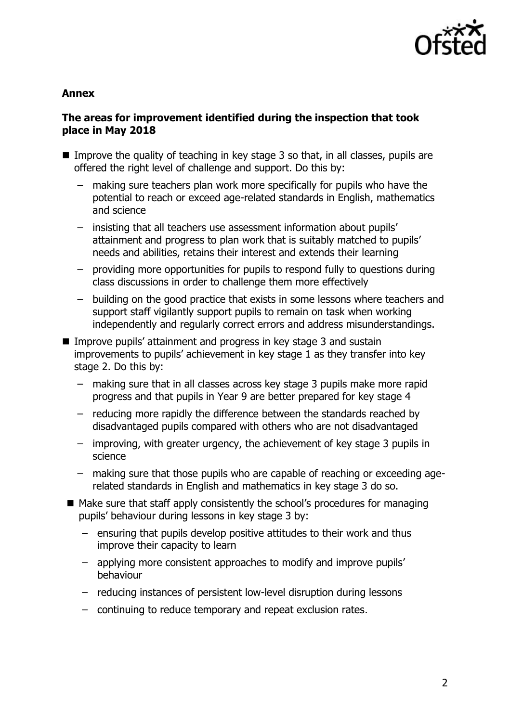

#### **Annex**

## **The areas for improvement identified during the inspection that took place in May 2018**

- Improve the quality of teaching in key stage  $3$  so that, in all classes, pupils are offered the right level of challenge and support. Do this by:
	- making sure teachers plan work more specifically for pupils who have the potential to reach or exceed age-related standards in English, mathematics and science
	- insisting that all teachers use assessment information about pupils' attainment and progress to plan work that is suitably matched to pupils' needs and abilities, retains their interest and extends their learning
	- providing more opportunities for pupils to respond fully to questions during class discussions in order to challenge them more effectively
	- building on the good practice that exists in some lessons where teachers and support staff vigilantly support pupils to remain on task when working independently and regularly correct errors and address misunderstandings.
- Improve pupils' attainment and progress in key stage 3 and sustain improvements to pupils' achievement in key stage 1 as they transfer into key stage 2. Do this by:
	- making sure that in all classes across key stage 3 pupils make more rapid progress and that pupils in Year 9 are better prepared for key stage 4
	- reducing more rapidly the difference between the standards reached by disadvantaged pupils compared with others who are not disadvantaged
	- improving, with greater urgency, the achievement of key stage 3 pupils in science
	- making sure that those pupils who are capable of reaching or exceeding agerelated standards in English and mathematics in key stage 3 do so.
- $\blacksquare$  Make sure that staff apply consistently the school's procedures for managing pupils' behaviour during lessons in key stage 3 by:
	- ensuring that pupils develop positive attitudes to their work and thus improve their capacity to learn
	- applying more consistent approaches to modify and improve pupils' behaviour
	- reducing instances of persistent low-level disruption during lessons
	- continuing to reduce temporary and repeat exclusion rates.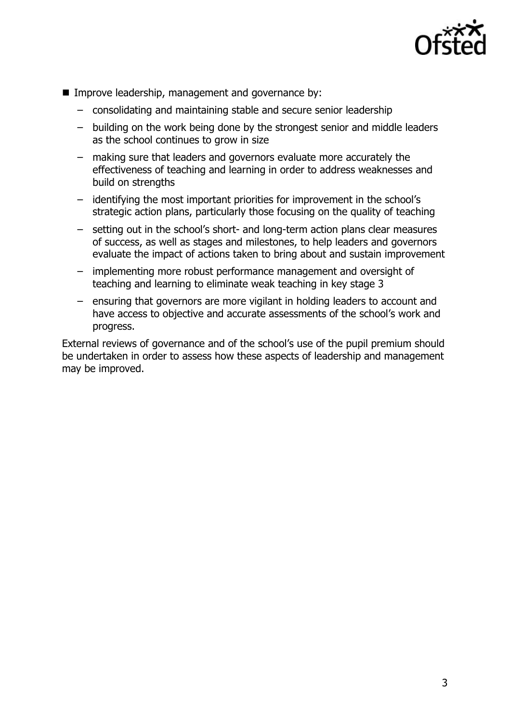

- Improve leadership, management and governance by:
	- consolidating and maintaining stable and secure senior leadership
	- building on the work being done by the strongest senior and middle leaders as the school continues to grow in size
	- making sure that leaders and governors evaluate more accurately the effectiveness of teaching and learning in order to address weaknesses and build on strengths
	- identifying the most important priorities for improvement in the school's strategic action plans, particularly those focusing on the quality of teaching
	- setting out in the school's short- and long-term action plans clear measures of success, as well as stages and milestones, to help leaders and governors evaluate the impact of actions taken to bring about and sustain improvement
	- implementing more robust performance management and oversight of teaching and learning to eliminate weak teaching in key stage 3
	- ensuring that governors are more vigilant in holding leaders to account and have access to objective and accurate assessments of the school's work and progress.

External reviews of governance and of the school's use of the pupil premium should be undertaken in order to assess how these aspects of leadership and management may be improved.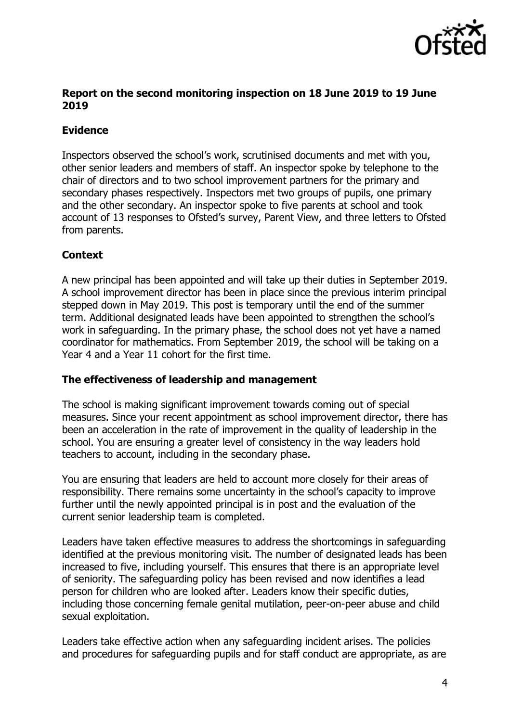

### **Report on the second monitoring inspection on 18 June 2019 to 19 June 2019**

# **Evidence**

Inspectors observed the school's work, scrutinised documents and met with you, other senior leaders and members of staff. An inspector spoke by telephone to the chair of directors and to two school improvement partners for the primary and secondary phases respectively. Inspectors met two groups of pupils, one primary and the other secondary. An inspector spoke to five parents at school and took account of 13 responses to Ofsted's survey, Parent View, and three letters to Ofsted from parents.

## **Context**

A new principal has been appointed and will take up their duties in September 2019. A school improvement director has been in place since the previous interim principal stepped down in May 2019. This post is temporary until the end of the summer term. Additional designated leads have been appointed to strengthen the school's work in safeguarding. In the primary phase, the school does not yet have a named coordinator for mathematics. From September 2019, the school will be taking on a Year 4 and a Year 11 cohort for the first time.

## **The effectiveness of leadership and management**

The school is making significant improvement towards coming out of special measures. Since your recent appointment as school improvement director, there has been an acceleration in the rate of improvement in the quality of leadership in the school. You are ensuring a greater level of consistency in the way leaders hold teachers to account, including in the secondary phase.

You are ensuring that leaders are held to account more closely for their areas of responsibility. There remains some uncertainty in the school's capacity to improve further until the newly appointed principal is in post and the evaluation of the current senior leadership team is completed.

Leaders have taken effective measures to address the shortcomings in safeguarding identified at the previous monitoring visit. The number of designated leads has been increased to five, including yourself. This ensures that there is an appropriate level of seniority. The safeguarding policy has been revised and now identifies a lead person for children who are looked after. Leaders know their specific duties, including those concerning female genital mutilation, peer-on-peer abuse and child sexual exploitation.

Leaders take effective action when any safeguarding incident arises. The policies and procedures for safeguarding pupils and for staff conduct are appropriate, as are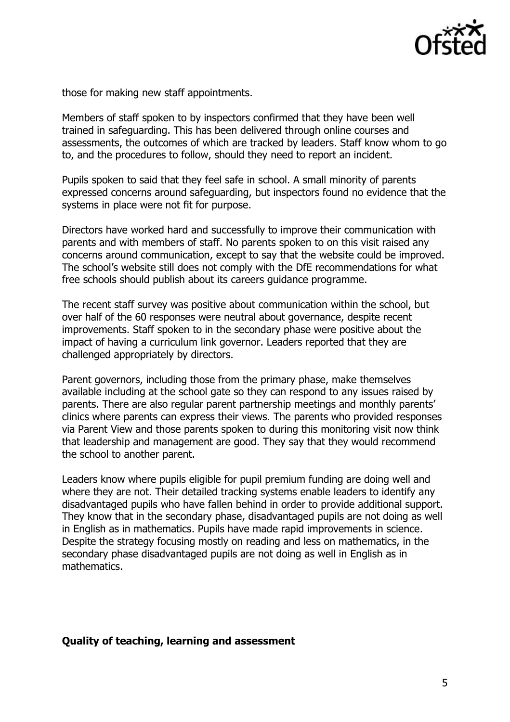

those for making new staff appointments.

Members of staff spoken to by inspectors confirmed that they have been well trained in safeguarding. This has been delivered through online courses and assessments, the outcomes of which are tracked by leaders. Staff know whom to go to, and the procedures to follow, should they need to report an incident.

Pupils spoken to said that they feel safe in school. A small minority of parents expressed concerns around safeguarding, but inspectors found no evidence that the systems in place were not fit for purpose.

Directors have worked hard and successfully to improve their communication with parents and with members of staff. No parents spoken to on this visit raised any concerns around communication, except to say that the website could be improved. The school's website still does not comply with the DfE recommendations for what free schools should publish about its careers guidance programme.

The recent staff survey was positive about communication within the school, but over half of the 60 responses were neutral about governance, despite recent improvements. Staff spoken to in the secondary phase were positive about the impact of having a curriculum link governor. Leaders reported that they are challenged appropriately by directors.

Parent governors, including those from the primary phase, make themselves available including at the school gate so they can respond to any issues raised by parents. There are also regular parent partnership meetings and monthly parents' clinics where parents can express their views. The parents who provided responses via Parent View and those parents spoken to during this monitoring visit now think that leadership and management are good. They say that they would recommend the school to another parent.

Leaders know where pupils eligible for pupil premium funding are doing well and where they are not. Their detailed tracking systems enable leaders to identify any disadvantaged pupils who have fallen behind in order to provide additional support. They know that in the secondary phase, disadvantaged pupils are not doing as well in English as in mathematics. Pupils have made rapid improvements in science. Despite the strategy focusing mostly on reading and less on mathematics, in the secondary phase disadvantaged pupils are not doing as well in English as in mathematics.

#### **Quality of teaching, learning and assessment**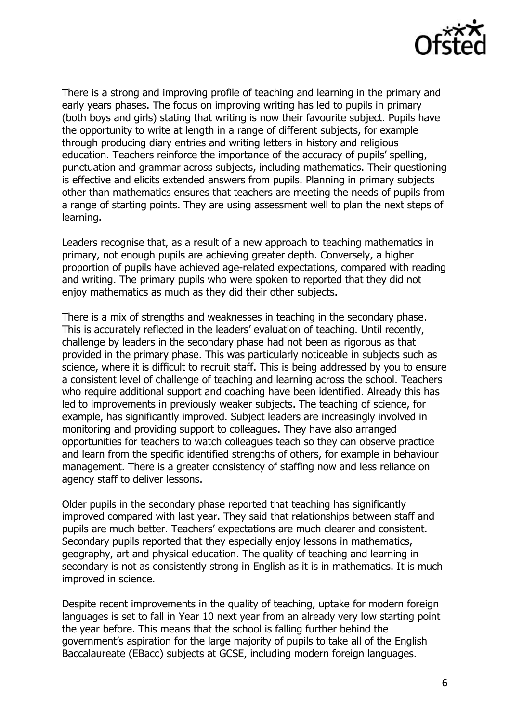

There is a strong and improving profile of teaching and learning in the primary and early years phases. The focus on improving writing has led to pupils in primary (both boys and girls) stating that writing is now their favourite subject. Pupils have the opportunity to write at length in a range of different subjects, for example through producing diary entries and writing letters in history and religious education. Teachers reinforce the importance of the accuracy of pupils' spelling, punctuation and grammar across subjects, including mathematics. Their questioning is effective and elicits extended answers from pupils. Planning in primary subjects other than mathematics ensures that teachers are meeting the needs of pupils from a range of starting points. They are using assessment well to plan the next steps of learning.

Leaders recognise that, as a result of a new approach to teaching mathematics in primary, not enough pupils are achieving greater depth. Conversely, a higher proportion of pupils have achieved age-related expectations, compared with reading and writing. The primary pupils who were spoken to reported that they did not enjoy mathematics as much as they did their other subjects.

There is a mix of strengths and weaknesses in teaching in the secondary phase. This is accurately reflected in the leaders' evaluation of teaching. Until recently, challenge by leaders in the secondary phase had not been as rigorous as that provided in the primary phase. This was particularly noticeable in subjects such as science, where it is difficult to recruit staff. This is being addressed by you to ensure a consistent level of challenge of teaching and learning across the school. Teachers who require additional support and coaching have been identified. Already this has led to improvements in previously weaker subjects. The teaching of science, for example, has significantly improved. Subject leaders are increasingly involved in monitoring and providing support to colleagues. They have also arranged opportunities for teachers to watch colleagues teach so they can observe practice and learn from the specific identified strengths of others, for example in behaviour management. There is a greater consistency of staffing now and less reliance on agency staff to deliver lessons.

Older pupils in the secondary phase reported that teaching has significantly improved compared with last year. They said that relationships between staff and pupils are much better. Teachers' expectations are much clearer and consistent. Secondary pupils reported that they especially enjoy lessons in mathematics, geography, art and physical education. The quality of teaching and learning in secondary is not as consistently strong in English as it is in mathematics. It is much improved in science.

Despite recent improvements in the quality of teaching, uptake for modern foreign languages is set to fall in Year 10 next year from an already very low starting point the year before. This means that the school is falling further behind the government's aspiration for the large majority of pupils to take all of the English Baccalaureate (EBacc) subjects at GCSE, including modern foreign languages.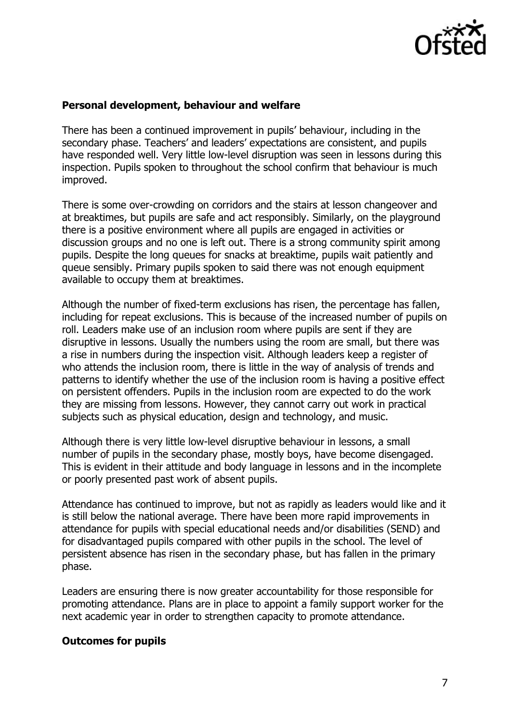

#### **Personal development, behaviour and welfare**

There has been a continued improvement in pupils' behaviour, including in the secondary phase. Teachers' and leaders' expectations are consistent, and pupils have responded well. Very little low-level disruption was seen in lessons during this inspection. Pupils spoken to throughout the school confirm that behaviour is much improved.

There is some over-crowding on corridors and the stairs at lesson changeover and at breaktimes, but pupils are safe and act responsibly. Similarly, on the playground there is a positive environment where all pupils are engaged in activities or discussion groups and no one is left out. There is a strong community spirit among pupils. Despite the long queues for snacks at breaktime, pupils wait patiently and queue sensibly. Primary pupils spoken to said there was not enough equipment available to occupy them at breaktimes.

Although the number of fixed-term exclusions has risen, the percentage has fallen, including for repeat exclusions. This is because of the increased number of pupils on roll. Leaders make use of an inclusion room where pupils are sent if they are disruptive in lessons. Usually the numbers using the room are small, but there was a rise in numbers during the inspection visit. Although leaders keep a register of who attends the inclusion room, there is little in the way of analysis of trends and patterns to identify whether the use of the inclusion room is having a positive effect on persistent offenders. Pupils in the inclusion room are expected to do the work they are missing from lessons. However, they cannot carry out work in practical subjects such as physical education, design and technology, and music.

Although there is very little low-level disruptive behaviour in lessons, a small number of pupils in the secondary phase, mostly boys, have become disengaged. This is evident in their attitude and body language in lessons and in the incomplete or poorly presented past work of absent pupils.

Attendance has continued to improve, but not as rapidly as leaders would like and it is still below the national average. There have been more rapid improvements in attendance for pupils with special educational needs and/or disabilities (SEND) and for disadvantaged pupils compared with other pupils in the school. The level of persistent absence has risen in the secondary phase, but has fallen in the primary phase.

Leaders are ensuring there is now greater accountability for those responsible for promoting attendance. Plans are in place to appoint a family support worker for the next academic year in order to strengthen capacity to promote attendance.

#### **Outcomes for pupils**